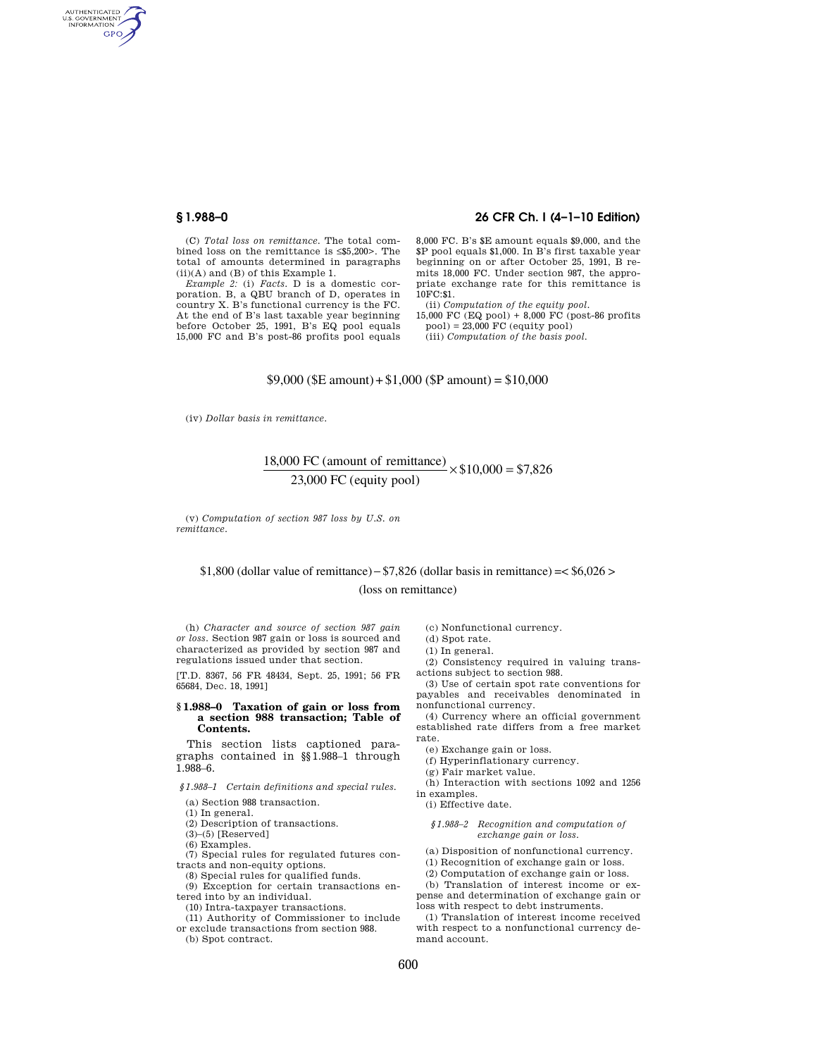AUTHENTICATED<br>U.S. GOVERNMENT<br>INFORMATION **GPO** 

### **§ 1.988–0 26 CFR Ch. I (4–1–10 Edition)**

(C) *Total loss on remittance.* The total combined loss on the remittance is ≤\$5,200>. The total of amounts determined in paragraphs (ii)(A) and (B) of this Example 1.

*Example 2:* (i) *Facts.* D is a domestic corporation. B, a QBU branch of D, operates in country X. B's functional currency is the FC. At the end of B's last taxable year beginning before October 25, 1991, B's EQ pool equals 15,000 FC and B's post-86 profits pool equals

8,000 FC. B's \$E amount equals \$9,000, and the \$P pool equals \$1,000. In B's first taxable year beginning on or after October 25, 1991, B remits 18,000 FC. Under section 987, the appropriate exchange rate for this remittance is  $10F$  $C·$ \$1.

(ii) *Computation of the equity pool.* 

15,000 FC (EQ pool) + 8,000 FC (post-86 profits pool) = 23,000 FC (equity pool)

(iii) *Computation of the basis pool.* 

### $$9,000$  (\$E amount) + \$1,000 (\$P amount) = \$10,000

(iv) *Dollar basis in remittance.* 

## 18,000 FC (amount of remittance)<br>23,000 FC (equity pool)  $\times$  \$10,000 = \$7,826 23 000 FC equity pool

(v) *Computation of section 987 loss by U.S. on remittance.* 

# $$1,800$  (dollar value of remittance) -  $$7,826$  (dollar basis in remittance) =  $$6,026>$

(loss on remittance)

(h) *Character and source of section 987 gain or loss.* Section 987 gain or loss is sourced and characterized as provided by section 987 and regulations issued under that section.

[T.D. 8367, 56 FR 48434, Sept. 25, 1991; 56 FR 65684, Dec. 18, 1991]

#### **§ 1.988–0 Taxation of gain or loss from a section 988 transaction; Table of Contents.**

This section lists captioned paragraphs contained in §§1.988–1 through 1.988–6.

*§1.988–1 Certain definitions and special rules.* 

(a) Section 988 transaction.

(1) In general.

(2) Description of transactions.

(3)–(5) [Reserved]

(6) Examples.

(7) Special rules for regulated futures contracts and non-equity options.

(8) Special rules for qualified funds.

(9) Exception for certain transactions entered into by an individual.

(10) Intra-taxpayer transactions.

(11) Authority of Commissioner to include or exclude transactions from section 988.

(b) Spot contract.

(c) Nonfunctional currency.

(d) Spot rate.

(1) In general.

(2) Consistency required in valuing transactions subject to section 988.

(3) Use of certain spot rate conventions for payables and receivables denominated in nonfunctional currency.

(4) Currency where an official government established rate differs from a free market rate.

(e) Exchange gain or loss.

(f) Hyperinflationary currency.

(g) Fair market value.

(h) Interaction with sections 1092 and 1256 in examples.

(i) Effective date.

#### *§1.988–2 Recognition and computation of exchange gain or loss.*

(a) Disposition of nonfunctional currency.

(1) Recognition of exchange gain or loss.

(2) Computation of exchange gain or loss.

(b) Translation of interest income or expense and determination of exchange gain or loss with respect to debt instruments.

(1) Translation of interest income received with respect to a nonfunctional currency demand account.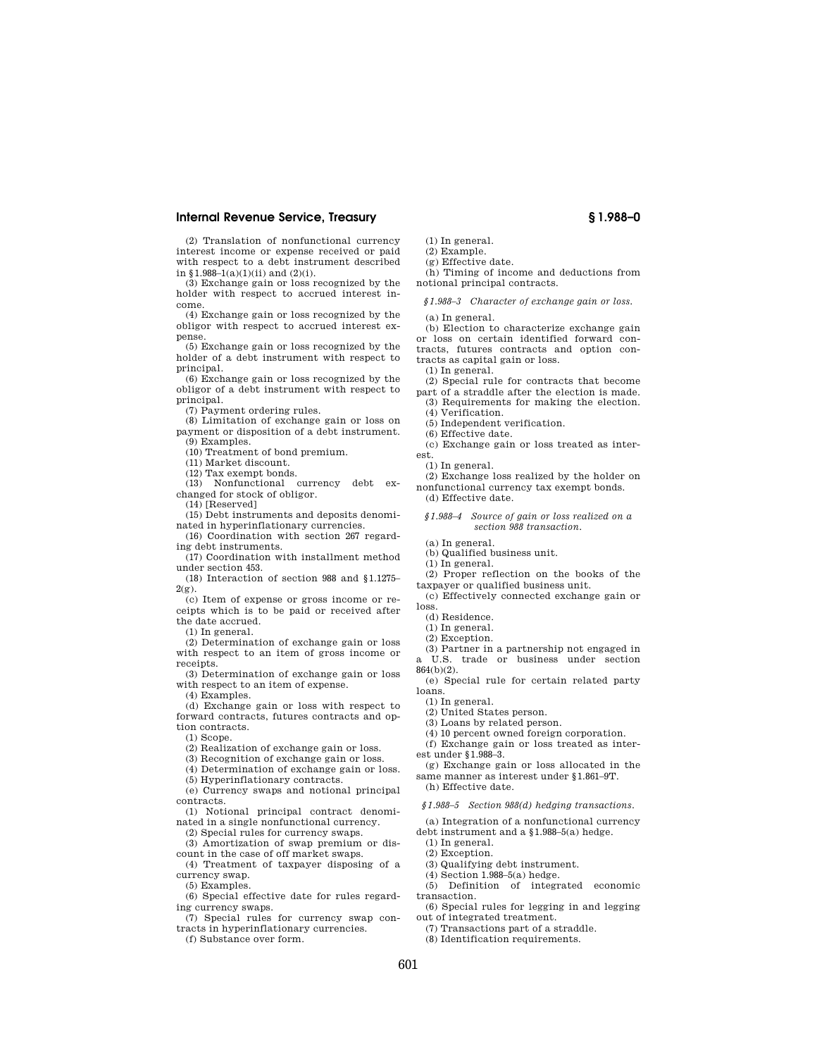#### **Internal Revenue Service, Treasury § 1.988–0**

(2) Translation of nonfunctional currency interest income or expense received or paid with respect to a debt instrument described in  $$1.988-1(a)(1)(ii)$  and  $(2)(i)$ .

(3) Exchange gain or loss recognized by the holder with respect to accrued interest income.

(4) Exchange gain or loss recognized by the obligor with respect to accrued interest expense.

(5) Exchange gain or loss recognized by the holder of a debt instrument with respect to principal.

(6) Exchange gain or loss recognized by the obligor of a debt instrument with respect to principal.

(7) Payment ordering rules.

(8) Limitation of exchange gain or loss on payment or disposition of a debt instrument. (9) Examples.

(10) Treatment of bond premium.

(11) Market discount.

(12) Tax exempt bonds.

(13) Nonfunctional currency debt ex-

changed for stock of obligor.

(14) [Reserved]

(15) Debt instruments and deposits denominated in hyperinflationary currencies.

(16) Coordination with section 267 regarding debt instruments.

(17) Coordination with installment method under section 453.

(18) Interaction of section 988 and §1.1275–  $2(g)$ .

(c) Item of expense or gross income or receipts which is to be paid or received after the date accrued.

(1) In general.

(2) Determination of exchange gain or loss with respect to an item of gross income or receipts.

(3) Determination of exchange gain or loss with respect to an item of expense.

(4) Examples.

(d) Exchange gain or loss with respect to forward contracts, futures contracts and option contracts.

(1) Scope.

(2) Realization of exchange gain or loss.

(3) Recognition of exchange gain or loss.

(4) Determination of exchange gain or loss.

(5) Hyperinflationary contracts. (e) Currency swaps and notional principal

contracts. (1) Notional principal contract denomi-

nated in a single nonfunctional currency.

(2) Special rules for currency swaps.

(3) Amortization of swap premium or discount in the case of off market swaps.

(4) Treatment of taxpayer disposing of a currency swap.

(5) Examples.

(6) Special effective date for rules regarding currency swaps.

(7) Special rules for currency swap contracts in hyperinflationary currencies.

(f) Substance over form.

- (1) In general.
- (2) Example. (g) Effective date.

(h) Timing of income and deductions from notional principal contracts.

*§1.988–3 Character of exchange gain or loss.* 

(a) In general.

(b) Election to characterize exchange gain or loss on certain identified forward contracts, futures contracts and option contracts as capital gain or loss.

(1) In general.

(2) Special rule for contracts that become part of a straddle after the election is made.

- (3) Requirements for making the election. (4) Verification.
- (5) Independent verification.

(6) Effective date.

(c) Exchange gain or loss treated as interest.

(1) In general.

(2) Exchange loss realized by the holder on nonfunctional currency tax exempt bonds. (d) Effective date.

*§1.988–4 Source of gain or loss realized on a section 988 transaction.* 

(a) In general.

(b) Qualified business unit.

(1) In general.

(2) Proper reflection on the books of the taxpayer or qualified business unit.

(c) Effectively connected exchange gain or loss.

- (d) Residence.
- (1) In general.
- (2) Exception.
- (3) Partner in a partnership not engaged in a U.S. trade or business under section

864(b)(2).

(e) Special rule for certain related party loans.

- (1) In general.
- (2) United States person.

(3) Loans by related person.

(4) 10 percent owned foreign corporation.

(f) Exchange gain or loss treated as inter-

est under §1.988–3. (g) Exchange gain or loss allocated in the

same manner as interest under §1.861–9T. (h) Effective date.

*§1.988–5 Section 988(d) hedging transactions.* 

(a) Integration of a nonfunctional currency

debt instrument and a §1.988–5(a) hedge.

- (1) In general.
- (2) Exception.
- (3) Qualifying debt instrument.
- (4) Section 1.988–5(a) hedge.
- (5) Definition of integrated economic transaction.

(6) Special rules for legging in and legging out of integrated treatment.

(7) Transactions part of a straddle.

(8) Identification requirements.